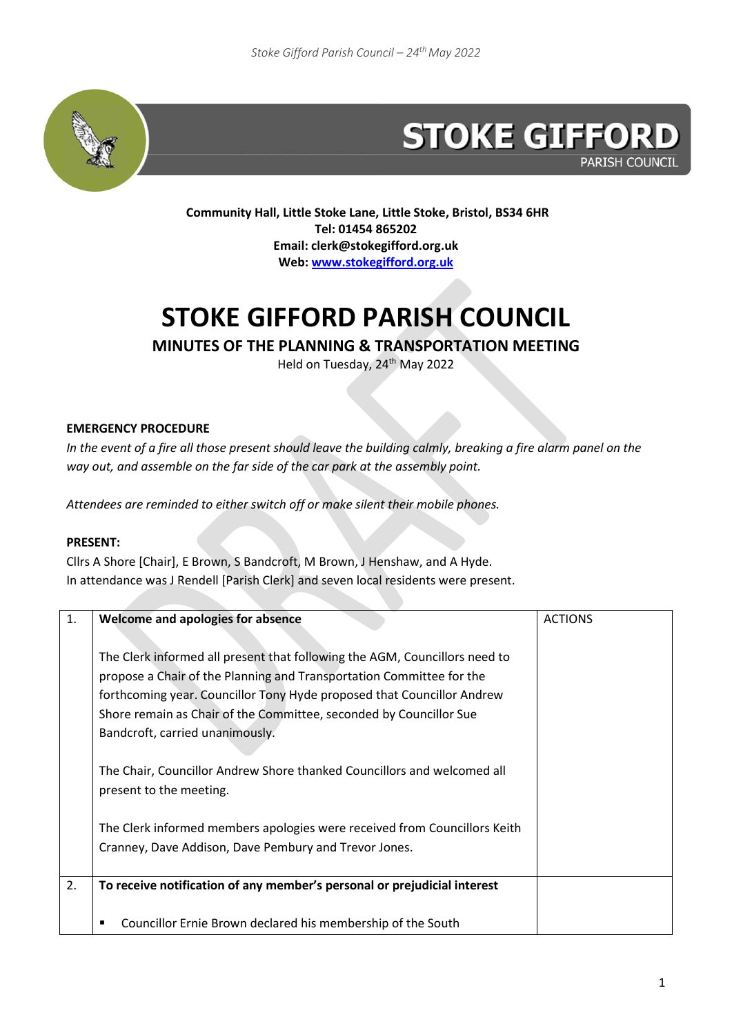

# **STOKE GIFFORD PARISH COUNCIL**

**Community Hall, Little Stoke Lane, Little Stoke, Bristol, BS34 6HR Tel: 01454 865202 Email: clerk@stokegifford.org.uk Web[: www.stokegifford.org.uk](http://www.stokegifford.org.uk/)**

# **STOKE GIFFORD PARISH COUNCIL**

## **MINUTES OF THE PLANNING & TRANSPORTATION MEETING**

Held on Tuesday, 24<sup>th</sup> May 2022

### **EMERGENCY PROCEDURE**

*In the event of a fire all those present should leave the building calmly, breaking a fire alarm panel on the way out, and assemble on the far side of the car park at the assembly point.*

*Attendees are reminded to either switch off or make silent their mobile phones.*

#### **PRESENT:**

Cllrs A Shore [Chair], E Brown, S Bandcroft, M Brown, J Henshaw, and A Hyde. In attendance was J Rendell [Parish Clerk] and seven local residents were present.

| 1. | <b>Welcome and apologies for absence</b>                                                                                                                                                                                                                                                                                              | <b>ACTIONS</b> |
|----|---------------------------------------------------------------------------------------------------------------------------------------------------------------------------------------------------------------------------------------------------------------------------------------------------------------------------------------|----------------|
|    | The Clerk informed all present that following the AGM, Councillors need to<br>propose a Chair of the Planning and Transportation Committee for the<br>forthcoming year. Councillor Tony Hyde proposed that Councillor Andrew<br>Shore remain as Chair of the Committee, seconded by Councillor Sue<br>Bandcroft, carried unanimously. |                |
|    | The Chair, Councillor Andrew Shore thanked Councillors and welcomed all<br>present to the meeting.                                                                                                                                                                                                                                    |                |
|    | The Clerk informed members apologies were received from Councillors Keith<br>Cranney, Dave Addison, Dave Pembury and Trevor Jones.                                                                                                                                                                                                    |                |
| 2. | To receive notification of any member's personal or prejudicial interest                                                                                                                                                                                                                                                              |                |
|    | Councillor Ernie Brown declared his membership of the South<br>п                                                                                                                                                                                                                                                                      |                |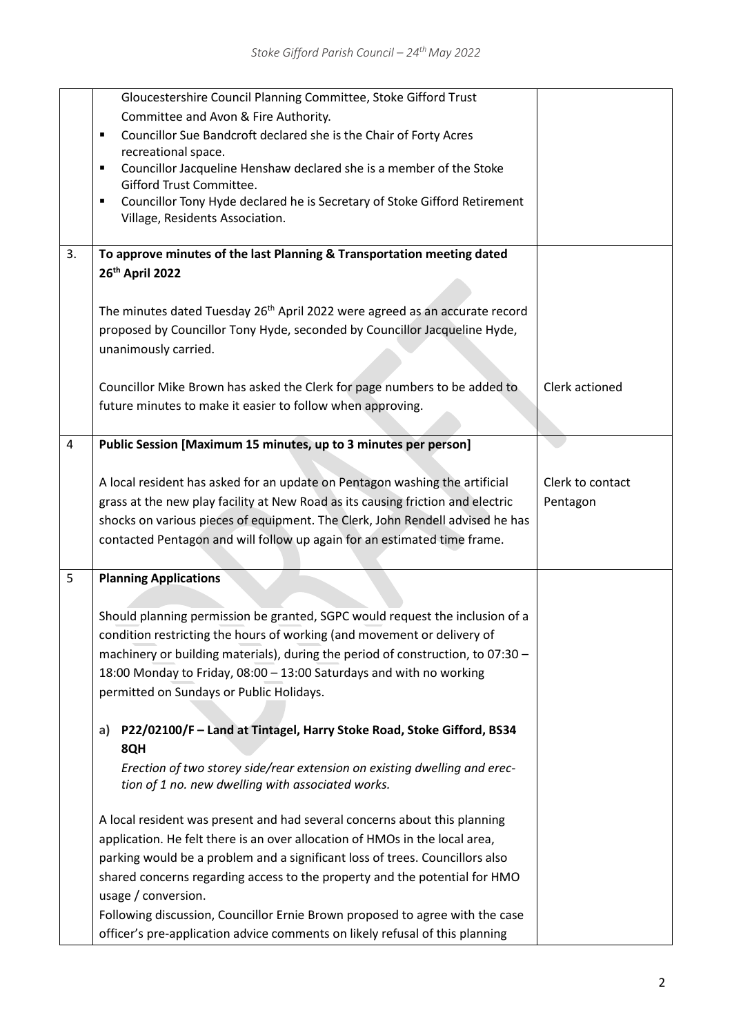|    | Gloucestershire Council Planning Committee, Stoke Gifford Trust                                                 |                  |
|----|-----------------------------------------------------------------------------------------------------------------|------------------|
|    | Committee and Avon & Fire Authority.                                                                            |                  |
|    | Councillor Sue Bandcroft declared she is the Chair of Forty Acres<br>$\blacksquare$                             |                  |
|    | recreational space.<br>Councillor Jacqueline Henshaw declared she is a member of the Stoke<br>п                 |                  |
|    | Gifford Trust Committee.                                                                                        |                  |
|    | Councillor Tony Hyde declared he is Secretary of Stoke Gifford Retirement<br>п                                  |                  |
|    | Village, Residents Association.                                                                                 |                  |
|    |                                                                                                                 |                  |
| 3. | To approve minutes of the last Planning & Transportation meeting dated                                          |                  |
|    | 26th April 2022                                                                                                 |                  |
|    |                                                                                                                 |                  |
|    | The minutes dated Tuesday 26 <sup>th</sup> April 2022 were agreed as an accurate record                         |                  |
|    | proposed by Councillor Tony Hyde, seconded by Councillor Jacqueline Hyde,                                       |                  |
|    | unanimously carried.                                                                                            |                  |
|    |                                                                                                                 |                  |
|    | Councillor Mike Brown has asked the Clerk for page numbers to be added to                                       | Clerk actioned   |
|    | future minutes to make it easier to follow when approving.                                                      |                  |
|    |                                                                                                                 |                  |
| 4  | Public Session [Maximum 15 minutes, up to 3 minutes per person]                                                 |                  |
|    |                                                                                                                 |                  |
|    | A local resident has asked for an update on Pentagon washing the artificial                                     | Clerk to contact |
|    | grass at the new play facility at New Road as its causing friction and electric                                 | Pentagon         |
|    | shocks on various pieces of equipment. The Clerk, John Rendell advised he has                                   |                  |
|    | contacted Pentagon and will follow up again for an estimated time frame.                                        |                  |
|    |                                                                                                                 |                  |
| 5  | <b>Planning Applications</b>                                                                                    |                  |
|    |                                                                                                                 |                  |
|    | Should planning permission be granted, SGPC would request the inclusion of a                                    |                  |
|    | condition restricting the hours of working (and movement or delivery of                                         |                  |
|    | machinery or building materials), during the period of construction, to 07:30 -                                 |                  |
|    | 18:00 Monday to Friday, 08:00 - 13:00 Saturdays and with no working<br>permitted on Sundays or Public Holidays. |                  |
|    |                                                                                                                 |                  |
|    | P22/02100/F - Land at Tintagel, Harry Stoke Road, Stoke Gifford, BS34                                           |                  |
|    | a)<br>8QH                                                                                                       |                  |
|    | Erection of two storey side/rear extension on existing dwelling and erec-                                       |                  |
|    | tion of 1 no. new dwelling with associated works.                                                               |                  |
|    |                                                                                                                 |                  |
|    | A local resident was present and had several concerns about this planning                                       |                  |
|    | application. He felt there is an over allocation of HMOs in the local area,                                     |                  |
|    | parking would be a problem and a significant loss of trees. Councillors also                                    |                  |
|    | shared concerns regarding access to the property and the potential for HMO                                      |                  |
|    | usage / conversion.                                                                                             |                  |
|    | Following discussion, Councillor Ernie Brown proposed to agree with the case                                    |                  |
|    | officer's pre-application advice comments on likely refusal of this planning                                    |                  |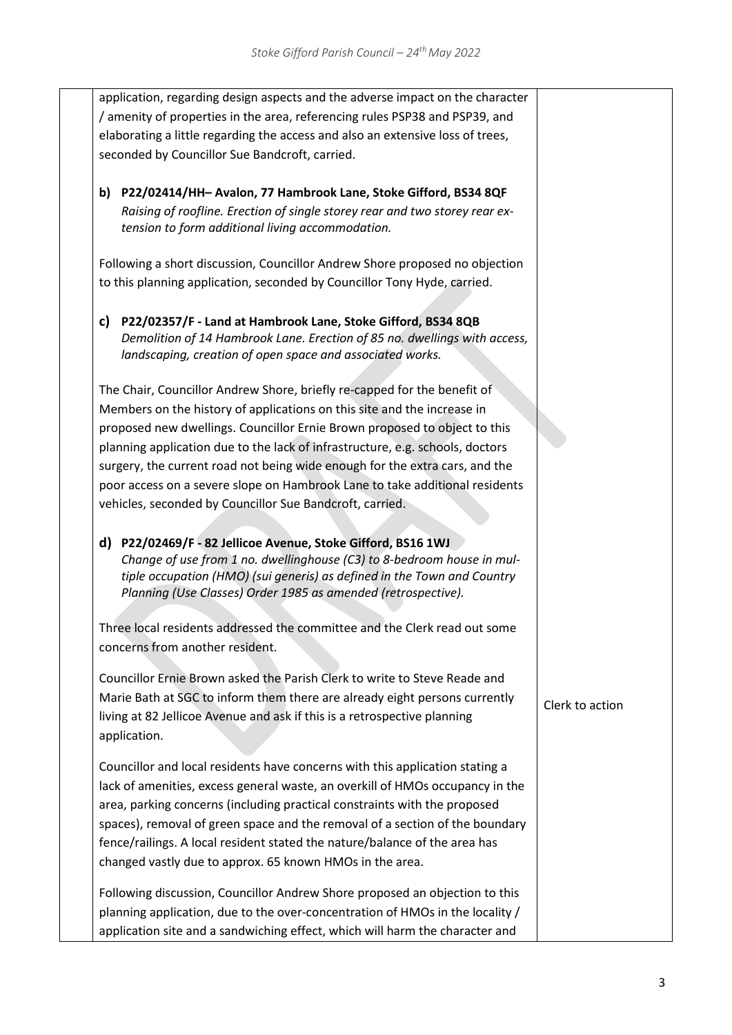| application, regarding design aspects and the adverse impact on the character<br>/ amenity of properties in the area, referencing rules PSP38 and PSP39, and<br>elaborating a little regarding the access and also an extensive loss of trees,<br>seconded by Councillor Sue Bandcroft, carried.                                                                                                                                                                                                                                                                                                                                                                                                                                                                                                                                                                                                                                                                                 |                 |
|----------------------------------------------------------------------------------------------------------------------------------------------------------------------------------------------------------------------------------------------------------------------------------------------------------------------------------------------------------------------------------------------------------------------------------------------------------------------------------------------------------------------------------------------------------------------------------------------------------------------------------------------------------------------------------------------------------------------------------------------------------------------------------------------------------------------------------------------------------------------------------------------------------------------------------------------------------------------------------|-----------------|
| b) P22/02414/HH-Avalon, 77 Hambrook Lane, Stoke Gifford, BS34 8QF<br>Raising of roofline. Erection of single storey rear and two storey rear ex-<br>tension to form additional living accommodation.                                                                                                                                                                                                                                                                                                                                                                                                                                                                                                                                                                                                                                                                                                                                                                             |                 |
| Following a short discussion, Councillor Andrew Shore proposed no objection<br>to this planning application, seconded by Councillor Tony Hyde, carried.                                                                                                                                                                                                                                                                                                                                                                                                                                                                                                                                                                                                                                                                                                                                                                                                                          |                 |
| P22/02357/F - Land at Hambrook Lane, Stoke Gifford, BS34 8QB<br>C)<br>Demolition of 14 Hambrook Lane. Erection of 85 no. dwellings with access,<br>landscaping, creation of open space and associated works.<br>The Chair, Councillor Andrew Shore, briefly re-capped for the benefit of<br>Members on the history of applications on this site and the increase in<br>proposed new dwellings. Councillor Ernie Brown proposed to object to this<br>planning application due to the lack of infrastructure, e.g. schools, doctors<br>surgery, the current road not being wide enough for the extra cars, and the<br>poor access on a severe slope on Hambrook Lane to take additional residents<br>vehicles, seconded by Councillor Sue Bandcroft, carried.<br>d) P22/02469/F - 82 Jellicoe Avenue, Stoke Gifford, BS16 1WJ<br>Change of use from 1 no. dwellinghouse (C3) to 8-bedroom house in mul-<br>tiple occupation (HMO) (sui generis) as defined in the Town and Country |                 |
| Planning (Use Classes) Order 1985 as amended (retrospective).<br>Three local residents addressed the committee and the Clerk read out some                                                                                                                                                                                                                                                                                                                                                                                                                                                                                                                                                                                                                                                                                                                                                                                                                                       |                 |
| concerns from another resident.<br>Councillor Ernie Brown asked the Parish Clerk to write to Steve Reade and<br>Marie Bath at SGC to inform them there are already eight persons currently<br>living at 82 Jellicoe Avenue and ask if this is a retrospective planning<br>application.                                                                                                                                                                                                                                                                                                                                                                                                                                                                                                                                                                                                                                                                                           | Clerk to action |
| Councillor and local residents have concerns with this application stating a<br>lack of amenities, excess general waste, an overkill of HMOs occupancy in the<br>area, parking concerns (including practical constraints with the proposed<br>spaces), removal of green space and the removal of a section of the boundary<br>fence/railings. A local resident stated the nature/balance of the area has<br>changed vastly due to approx. 65 known HMOs in the area.                                                                                                                                                                                                                                                                                                                                                                                                                                                                                                             |                 |
| Following discussion, Councillor Andrew Shore proposed an objection to this<br>planning application, due to the over-concentration of HMOs in the locality /<br>application site and a sandwiching effect, which will harm the character and                                                                                                                                                                                                                                                                                                                                                                                                                                                                                                                                                                                                                                                                                                                                     |                 |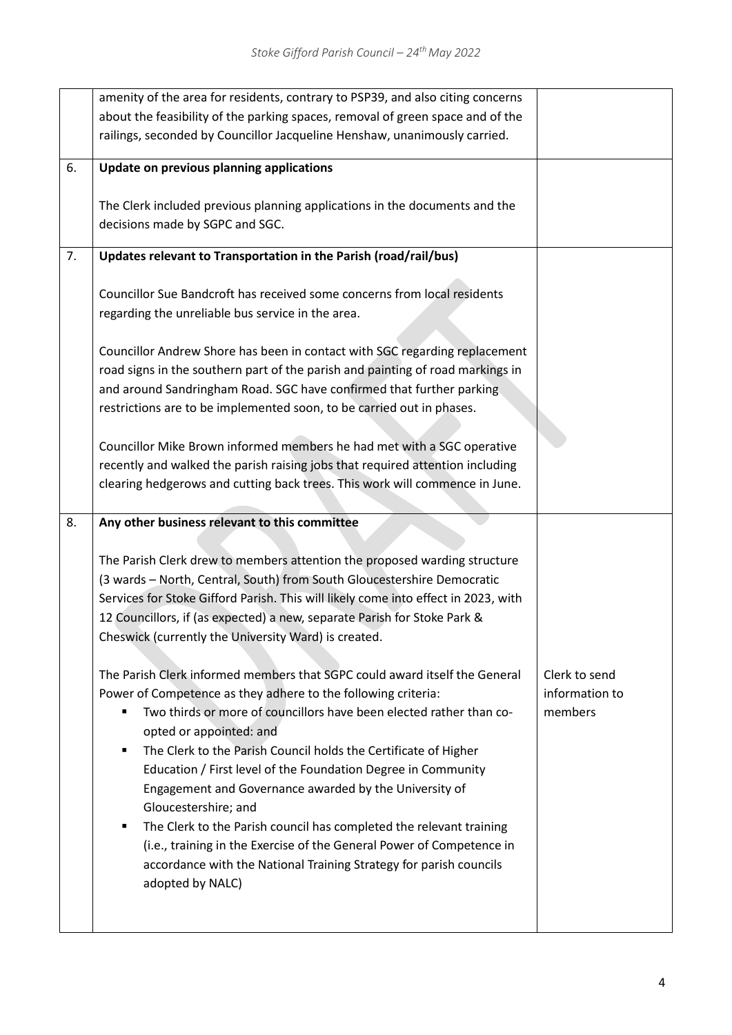|    | amenity of the area for residents, contrary to PSP39, and also citing concerns     |                |
|----|------------------------------------------------------------------------------------|----------------|
|    | about the feasibility of the parking spaces, removal of green space and of the     |                |
|    | railings, seconded by Councillor Jacqueline Henshaw, unanimously carried.          |                |
|    |                                                                                    |                |
| 6. | Update on previous planning applications                                           |                |
|    |                                                                                    |                |
|    | The Clerk included previous planning applications in the documents and the         |                |
|    | decisions made by SGPC and SGC.                                                    |                |
|    |                                                                                    |                |
| 7. | Updates relevant to Transportation in the Parish (road/rail/bus)                   |                |
|    |                                                                                    |                |
|    | Councillor Sue Bandcroft has received some concerns from local residents           |                |
|    | regarding the unreliable bus service in the area.                                  |                |
|    |                                                                                    |                |
|    | Councillor Andrew Shore has been in contact with SGC regarding replacement         |                |
|    | road signs in the southern part of the parish and painting of road markings in     |                |
|    | and around Sandringham Road. SGC have confirmed that further parking               |                |
|    | restrictions are to be implemented soon, to be carried out in phases.              |                |
|    |                                                                                    |                |
|    | Councillor Mike Brown informed members he had met with a SGC operative             |                |
|    | recently and walked the parish raising jobs that required attention including      |                |
|    | clearing hedgerows and cutting back trees. This work will commence in June.        |                |
|    |                                                                                    |                |
|    |                                                                                    |                |
| 8. | Any other business relevant to this committee                                      |                |
|    |                                                                                    |                |
|    | The Parish Clerk drew to members attention the proposed warding structure          |                |
|    | (3 wards - North, Central, South) from South Gloucestershire Democratic            |                |
|    | Services for Stoke Gifford Parish. This will likely come into effect in 2023, with |                |
|    | 12 Councillors, if (as expected) a new, separate Parish for Stoke Park &           |                |
|    | Cheswick (currently the University Ward) is created.                               |                |
|    |                                                                                    |                |
|    | The Parish Clerk informed members that SGPC could award itself the General         | Clerk to send  |
|    | Power of Competence as they adhere to the following criteria:                      | information to |
|    | Two thirds or more of councillors have been elected rather than co-                | members        |
|    | opted or appointed: and                                                            |                |
|    | The Clerk to the Parish Council holds the Certificate of Higher<br>٠               |                |
|    | Education / First level of the Foundation Degree in Community                      |                |
|    | Engagement and Governance awarded by the University of                             |                |
|    | Gloucestershire; and                                                               |                |
|    | The Clerk to the Parish council has completed the relevant training<br>٠           |                |
|    | (i.e., training in the Exercise of the General Power of Competence in              |                |
|    | accordance with the National Training Strategy for parish councils                 |                |
|    | adopted by NALC)                                                                   |                |
|    |                                                                                    |                |